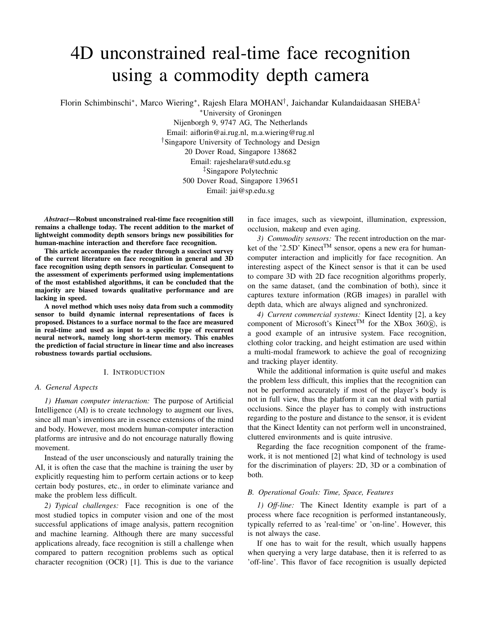# 4D unconstrained real-time face recognition using a commodity depth camera

Florin Schimbinschi\*, Marco Wiering\*, Rajesh Elara MOHAN<sup>†</sup>, Jaichandar Kulandaidaasan SHEBA<sup>‡</sup>

<sup>∗</sup>University of Groningen

Nijenborgh 9, 9747 AG, The Netherlands Email: aiflorin@ai.rug.nl, m.a.wiering@rug.nl †Singapore University of Technology and Design 20 Dover Road, Singapore 138682 Email: rajeshelara@sutd.edu.sg ‡Singapore Polytechnic 500 Dover Road, Singapore 139651

Email: jai@sp.edu.sg

*Abstract*—Robust unconstrained real-time face recognition still remains a challenge today. The recent addition to the market of lightweight commodity depth sensors brings new possibilities for human-machine interaction and therefore face recognition.

This article accompanies the reader through a succinct survey of the current literature on face recognition in general and 3D face recognition using depth sensors in particular. Consequent to the assessment of experiments performed using implementations of the most established algorithms, it can be concluded that the majority are biased towards qualitative performance and are lacking in speed.

A novel method which uses noisy data from such a commodity sensor to build dynamic internal representations of faces is proposed. Distances to a surface normal to the face are measured in real-time and used as input to a specific type of recurrent neural network, namely long short-term memory. This enables the prediction of facial structure in linear time and also increases robustness towards partial occlusions.

#### I. INTRODUCTION

#### *A. General Aspects*

*1) Human computer interaction:* The purpose of Artificial Intelligence (AI) is to create technology to augment our lives, since all man's inventions are in essence extensions of the mind and body. However, most modern human-computer interaction platforms are intrusive and do not encourage naturally flowing movement.

Instead of the user unconsciously and naturally training the AI, it is often the case that the machine is training the user by explicitly requesting him to perform certain actions or to keep certain body postures, etc., in order to eliminate variance and make the problem less difficult.

*2) Typical challenges:* Face recognition is one of the most studied topics in computer vision and one of the most successful applications of image analysis, pattern recognition and machine learning. Although there are many successful applications already, face recognition is still a challenge when compared to pattern recognition problems such as optical character recognition (OCR) [1]. This is due to the variance in face images, such as viewpoint, illumination, expression, occlusion, makeup and even aging.

*3) Commodity sensors:* The recent introduction on the market of the '2.5D' Kinect<sup>TM</sup> sensor, opens a new era for humancomputer interaction and implicitly for face recognition. An interesting aspect of the Kinect sensor is that it can be used to compare 3D with 2D face recognition algorithms properly, on the same dataset, (and the combination of both), since it captures texture information (RGB images) in parallel with depth data, which are always aligned and synchronized.

*4) Current commercial systems:* Kinect Identity [2], a key component of Microsoft's Kinect<sup>TM</sup> for the XBox 360 $\overline{R}$ ), is a good example of an intrusive system. Face recognition, clothing color tracking, and height estimation are used within a multi-modal framework to achieve the goal of recognizing and tracking player identity.

While the additional information is quite useful and makes the problem less difficult, this implies that the recognition can not be performed accurately if most of the player's body is not in full view, thus the platform it can not deal with partial occlusions. Since the player has to comply with instructions regarding to the posture and distance to the sensor, it is evident that the Kinect Identity can not perform well in unconstrained, cluttered environments and is quite intrusive.

Regarding the face recognition component of the framework, it is not mentioned [2] what kind of technology is used for the discrimination of players: 2D, 3D or a combination of both.

### *B. Operational Goals: Time, Space, Features*

*1) Off-line:* The Kinect Identity example is part of a process where face recognition is performed instantaneously, typically referred to as 'real-time' or 'on-line'. However, this is not always the case.

If one has to wait for the result, which usually happens when querying a very large database, then it is referred to as 'off-line'. This flavor of face recognition is usually depicted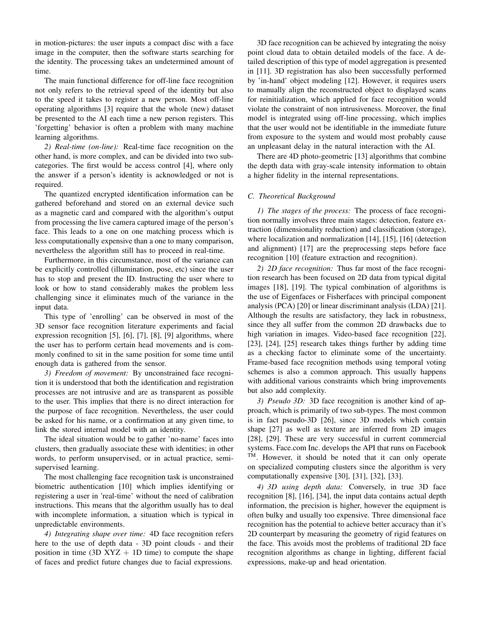in motion-pictures: the user inputs a compact disc with a face image in the computer, then the software starts searching for the identity. The processing takes an undetermined amount of time.

The main functional difference for off-line face recognition not only refers to the retrieval speed of the identity but also to the speed it takes to register a new person. Most off-line operating algorithms [3] require that the whole (new) dataset be presented to the AI each time a new person registers. This 'forgetting' behavior is often a problem with many machine learning algorithms.

*2) Real-time (on-line):* Real-time face recognition on the other hand, is more complex, and can be divided into two subcategories. The first would be access control [4], where only the answer if a person's identity is acknowledged or not is required.

The quantized encrypted identification information can be gathered beforehand and stored on an external device such as a magnetic card and compared with the algorithm's output from processing the live camera captured image of the person's face. This leads to a one on one matching process which is less computationally expensive than a one to many comparison, nevertheless the algorithm still has to proceed in real-time.

Furthermore, in this circumstance, most of the variance can be explicitly controlled (illumination, pose, etc) since the user has to stop and present the ID. Instructing the user where to look or how to stand considerably makes the problem less challenging since it eliminates much of the variance in the input data.

This type of 'enrolling' can be observed in most of the 3D sensor face recognition literature experiments and facial expression recognition [5], [6], [7], [8], [9] algorithms, where the user has to perform certain head movements and is commonly confined to sit in the same position for some time until enough data is gathered from the sensor.

*3) Freedom of movement:* By unconstrained face recognition it is understood that both the identification and registration processes are not intrusive and are as transparent as possible to the user. This implies that there is no direct interaction for the purpose of face recognition. Nevertheless, the user could be asked for his name, or a confirmation at any given time, to link the stored internal model with an identity.

The ideal situation would be to gather 'no-name' faces into clusters, then gradually associate these with identities; in other words, to perform unsupervised, or in actual practice, semisupervised learning.

The most challenging face recognition task is unconstrained biometric authentication [10] which implies identifying or registering a user in 'real-time' without the need of calibration instructions. This means that the algorithm usually has to deal with incomplete information, a situation which is typical in unpredictable environments.

*4) Integrating shape over time:* 4D face recognition refers here to the use of depth data - 3D point clouds - and their position in time (3D  $XYZ + 1D$  time) to compute the shape of faces and predict future changes due to facial expressions.

3D face recognition can be achieved by integrating the noisy point cloud data to obtain detailed models of the face. A detailed description of this type of model aggregation is presented in [11]. 3D registration has also been successfully performed by 'in-hand' object modeling [12]. However, it requires users to manually align the reconstructed object to displayed scans for reinitialization, which applied for face recognition would violate the constraint of non intrusiveness. Moreover, the final model is integrated using off-line processing, which implies that the user would not be identifiable in the immediate future from exposure to the system and would most probably cause an unpleasant delay in the natural interaction with the AI.

There are 4D photo-geometric [13] algorithms that combine the depth data with gray-scale intensity information to obtain a higher fidelity in the internal representations.

# *C. Theoretical Background*

*1) The stages of the process:* The process of face recognition normally involves three main stages: detection, feature extraction (dimensionality reduction) and classification (storage), where localization and normalization [14], [15], [16] (detection and alignment) [17] are the preprocessing steps before face recognition [10] (feature extraction and recognition).

*2) 2D face recognition:* Thus far most of the face recognition research has been focused on 2D data from typical digital images [18], [19]. The typical combination of algorithms is the use of Eigenfaces or Fisherfaces with principal component analysis (PCA) [20] or linear discriminant analysis (LDA) [21]. Although the results are satisfactory, they lack in robustness, since they all suffer from the common 2D drawbacks due to high variation in images. Video-based face recognition [22], [23], [24], [25] research takes things further by adding time as a checking factor to eliminate some of the uncertainty. Frame-based face recognition methods using temporal voting schemes is also a common approach. This usually happens with additional various constraints which bring improvements but also add complexity.

*3) Pseudo 3D:* 3D face recognition is another kind of approach, which is primarily of two sub-types. The most common is in fact pseudo-3D [26], since 3D models which contain shape [27] as well as texture are inferred from 2D images [28], [29]. These are very successful in current commercial systems. Face.com Inc. develops the API that runs on Facebook TM. However, it should be noted that it can only operate on specialized computing clusters since the algorithm is very computationally expensive [30], [31], [32], [33].

*4) 3D using depth data:* Conversely, in true 3D face recognition [8], [16], [34], the input data contains actual depth information, the precision is higher, however the equipment is often bulky and usually too expensive. Three dimensional face recognition has the potential to achieve better accuracy than it's 2D counterpart by measuring the geometry of rigid features on the face. This avoids most the problems of traditional 2D face recognition algorithms as change in lighting, different facial expressions, make-up and head orientation.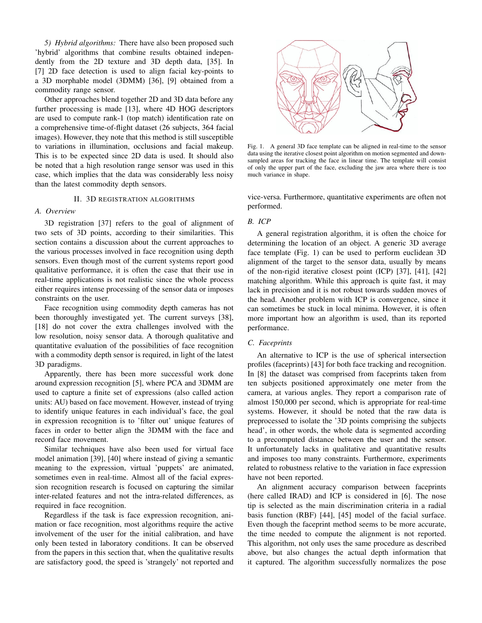*5) Hybrid algorithms:* There have also been proposed such 'hybrid' algorithms that combine results obtained independently from the 2D texture and 3D depth data, [35]. In [7] 2D face detection is used to align facial key-points to a 3D morphable model (3DMM) [36], [9] obtained from a commodity range sensor.

Other approaches blend together 2D and 3D data before any further processing is made [13], where 4D HOG descriptors are used to compute rank-1 (top match) identification rate on a comprehensive time-of-flight dataset (26 subjects, 364 facial images). However, they note that this method is still susceptible to variations in illumination, occlusions and facial makeup. This is to be expected since 2D data is used. It should also be noted that a high resolution range sensor was used in this case, which implies that the data was considerably less noisy than the latest commodity depth sensors.

# II. 3D REGISTRATION ALGORITHMS

# *A. Overview*

3D registration [37] refers to the goal of alignment of two sets of 3D points, according to their similarities. This section contains a discussion about the current approaches to the various processes involved in face recognition using depth sensors. Even though most of the current systems report good qualitative performance, it is often the case that their use in real-time applications is not realistic since the whole process either requires intense processing of the sensor data or imposes constraints on the user.

Face recognition using commodity depth cameras has not been thoroughly investigated yet. The current surveys [38], [18] do not cover the extra challenges involved with the low resolution, noisy sensor data. A thorough qualitative and quantitative evaluation of the possibilities of face recognition with a commodity depth sensor is required, in light of the latest 3D paradigms.

Apparently, there has been more successful work done around expression recognition [5], where PCA and 3DMM are used to capture a finite set of expressions (also called action units: AU) based on face movement. However, instead of trying to identify unique features in each individual's face, the goal in expression recognition is to 'filter out' unique features of faces in order to better align the 3DMM with the face and record face movement.

Similar techniques have also been used for virtual face model animation [39], [40] where instead of giving a semantic meaning to the expression, virtual 'puppets' are animated, sometimes even in real-time. Almost all of the facial expression recognition research is focused on capturing the similar inter-related features and not the intra-related differences, as required in face recognition.

Regardless if the task is face expression recognition, animation or face recognition, most algorithms require the active involvement of the user for the initial calibration, and have only been tested in laboratory conditions. It can be observed from the papers in this section that, when the qualitative results are satisfactory good, the speed is 'strangely' not reported and



Fig. 1. A general 3D face template can be aligned in real-time to the sensor data using the iterative closest point algorithm on motion segmented and downsampled areas for tracking the face in linear time. The template will consist of only the upper part of the face, excluding the jaw area where there is too much variance in shape.

vice-versa. Furthermore, quantitative experiments are often not performed.

# *B. ICP*

A general registration algorithm, it is often the choice for determining the location of an object. A generic 3D average face template (Fig. 1) can be used to perform euclidean 3D alignment of the target to the sensor data, usually by means of the non-rigid iterative closest point (ICP) [37], [41], [42] matching algorithm. While this approach is quite fast, it may lack in precision and it is not robust towards sudden moves of the head. Another problem with ICP is convergence, since it can sometimes be stuck in local minima. However, it is often more important how an algorithm is used, than its reported performance.

#### *C. Faceprints*

An alternative to ICP is the use of spherical intersection profiles (faceprints) [43] for both face tracking and recognition. In [8] the dataset was comprised from faceprints taken from ten subjects positioned approximately one meter from the camera, at various angles. They report a comparison rate of almost 150,000 per second, which is appropriate for real-time systems. However, it should be noted that the raw data is preprocessed to isolate the '3D points comprising the subjects head', in other words, the whole data is segmented according to a precomputed distance between the user and the sensor. It unfortunately lacks in qualitative and quantitative results and imposes too many constraints. Furthermore, experiments related to robustness relative to the variation in face expression have not been reported.

An alignment accuracy comparison between faceprints (here called IRAD) and ICP is considered in [6]. The nose tip is selected as the main discrimination criteria in a radial basis function (RBF) [44], [45] model of the facial surface. Even though the faceprint method seems to be more accurate, the time needed to compute the alignment is not reported. This algorithm, not only uses the same procedure as described above, but also changes the actual depth information that it captured. The algorithm successfully normalizes the pose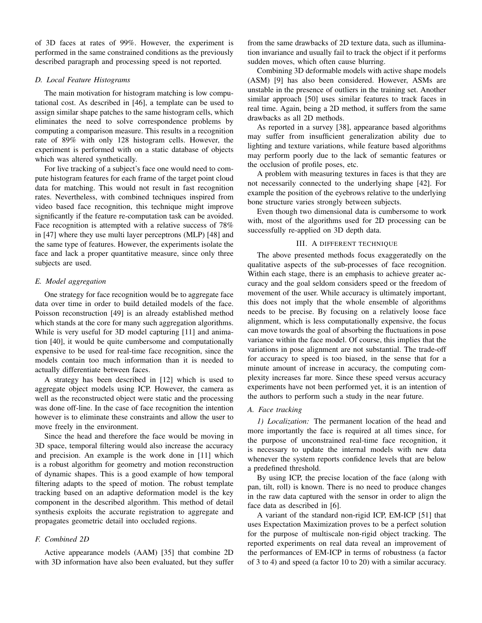of 3D faces at rates of 99%. However, the experiment is performed in the same constrained conditions as the previously described paragraph and processing speed is not reported.

## *D. Local Feature Histograms*

The main motivation for histogram matching is low computational cost. As described in [46], a template can be used to assign similar shape patches to the same histogram cells, which eliminates the need to solve correspondence problems by computing a comparison measure. This results in a recognition rate of 89% with only 128 histogram cells. However, the experiment is performed with on a static database of objects which was altered synthetically.

For live tracking of a subject's face one would need to compute histogram features for each frame of the target point cloud data for matching. This would not result in fast recognition rates. Nevertheless, with combined techniques inspired from video based face recognition, this technique might improve significantly if the feature re-computation task can be avoided. Face recognition is attempted with a relative success of 78% in [47] where they use multi layer perceptrons (MLP) [48] and the same type of features. However, the experiments isolate the face and lack a proper quantitative measure, since only three subjects are used.

# *E. Model aggregation*

One strategy for face recognition would be to aggregate face data over time in order to build detailed models of the face. Poisson reconstruction [49] is an already established method which stands at the core for many such aggregation algorithms. While is very useful for 3D model capturing [11] and animation [40], it would be quite cumbersome and computationally expensive to be used for real-time face recognition, since the models contain too much information than it is needed to actually differentiate between faces.

A strategy has been described in [12] which is used to aggregate object models using ICP. However, the camera as well as the reconstructed object were static and the processing was done off-line. In the case of face recognition the intention however is to eliminate these constraints and allow the user to move freely in the environment.

Since the head and therefore the face would be moving in 3D space, temporal filtering would also increase the accuracy and precision. An example is the work done in [11] which is a robust algorithm for geometry and motion reconstruction of dynamic shapes. This is a good example of how temporal filtering adapts to the speed of motion. The robust template tracking based on an adaptive deformation model is the key component in the described algorithm. This method of detail synthesis exploits the accurate registration to aggregate and propagates geometric detail into occluded regions.

#### *F. Combined 2D*

Active appearance models (AAM) [35] that combine 2D with 3D information have also been evaluated, but they suffer from the same drawbacks of 2D texture data, such as illumination invariance and usually fail to track the object if it performs sudden moves, which often cause blurring.

Combining 3D deformable models with active shape models (ASM) [9] has also been considered. However, ASMs are unstable in the presence of outliers in the training set. Another similar approach [50] uses similar features to track faces in real time. Again, being a 2D method, it suffers from the same drawbacks as all 2D methods.

As reported in a survey [38], appearance based algorithms may suffer from insufficient generalization ability due to lighting and texture variations, while feature based algorithms may perform poorly due to the lack of semantic features or the occlusion of profile poses, etc.

A problem with measuring textures in faces is that they are not necessarily connected to the underlying shape [42]. For example the position of the eyebrows relative to the underlying bone structure varies strongly between subjects.

Even though two dimensional data is cumbersome to work with, most of the algorithms used for 2D processing can be successfully re-applied on 3D depth data.

# III. A DIFFERENT TECHNIQUE

The above presented methods focus exaggeratedly on the qualitative aspects of the sub-processes of face recognition. Within each stage, there is an emphasis to achieve greater accuracy and the goal seldom considers speed or the freedom of movement of the user. While accuracy is ultimately important, this does not imply that the whole ensemble of algorithms needs to be precise. By focusing on a relatively loose face alignment, which is less computationally expensive, the focus can move towards the goal of absorbing the fluctuations in pose variance within the face model. Of course, this implies that the variations in pose alignment are not substantial. The trade-off for accuracy to speed is too biased, in the sense that for a minute amount of increase in accuracy, the computing complexity increases far more. Since these speed versus accuracy experiments have not been performed yet, it is an intention of the authors to perform such a study in the near future.

# *A. Face tracking*

*1) Localization:* The permanent location of the head and more importantly the face is required at all times since, for the purpose of unconstrained real-time face recognition, it is necessary to update the internal models with new data whenever the system reports confidence levels that are below a predefined threshold.

By using ICP, the precise location of the face (along with pan, tilt, roll) is known. There is no need to produce changes in the raw data captured with the sensor in order to align the face data as described in [6].

A variant of the standard non-rigid ICP, EM-ICP [51] that uses Expectation Maximization proves to be a perfect solution for the purpose of multiscale non-rigid object tracking. The reported experiments on real data reveal an improvement of the performances of EM-ICP in terms of robustness (a factor of 3 to 4) and speed (a factor 10 to 20) with a similar accuracy.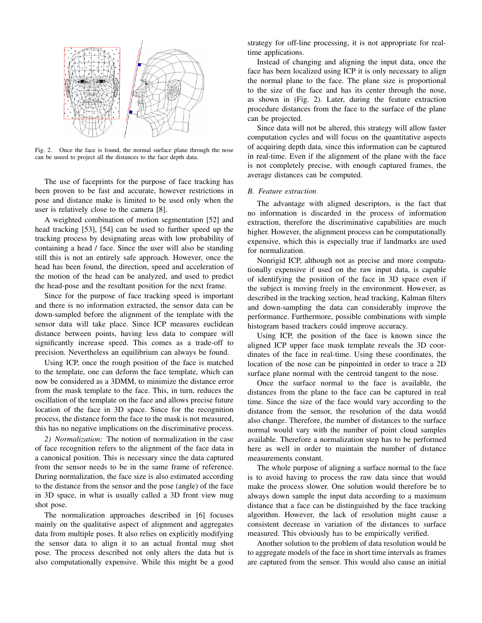

Fig. 2. Once the face is found, the normal surface plane through the nose can be useed to project all the distances to the face depth data.

The use of faceprints for the purpose of face tracking has been proven to be fast and accurate, however restrictions in pose and distance make is limited to be used only when the user is relatively close to the camera [8].

A weighted combination of motion segmentation [52] and head tracking [53], [54] can be used to further speed up the tracking process by designating areas with low probability of containing a head / face. Since the user will also be standing still this is not an entirely safe approach. However, once the head has been found, the direction, speed and acceleration of the motion of the head can be analyzed, and used to predict the head-pose and the resultant position for the next frame.

Since for the purpose of face tracking speed is important and there is no information extracted, the sensor data can be down-sampled before the alignment of the template with the sensor data will take place. Since ICP measures euclidean distance between points, having less data to compare will significantly increase speed. This comes as a trade-off to precision. Nevertheless an equilibrium can always be found.

Using ICP, once the rough position of the face is matched to the template, one can deform the face template, which can now be considered as a 3DMM, to minimize the distance error from the mask template to the face. This, in turn, reduces the oscillation of the template on the face and allows precise future location of the face in 3D space. Since for the recognition process, the distance form the face to the mask is not measured, this has no negative implications on the discriminative process.

*2) Normalization:* The notion of normalization in the case of face recognition refers to the alignment of the face data in a canonical position. This is necessary since the data captured from the sensor needs to be in the same frame of reference. During normalization, the face size is also estimated according to the distance from the sensor and the pose (angle) of the face in 3D space, in what is usually called a 3D front view mug shot pose.

The normalization approaches described in [6] focuses mainly on the qualitative aspect of alignment and aggregates data from multiple poses. It also relies on explicitly modifying the sensor data to align it to an actual frontal mug shot pose. The process described not only alters the data but is also computationally expensive. While this might be a good strategy for off-line processing, it is not appropriate for realtime applications.

Instead of changing and aligning the input data, once the face has been localized using ICP it is only necessary to align the normal plane to the face. The plane size is proportional to the size of the face and has its center through the nose, as shown in (Fig. 2). Later, during the feature extraction procedure distances from the face to the surface of the plane can be projected.

Since data will not be altered, this strategy will allow faster computation cycles and will focus on the quantitative aspects of acquiring depth data, since this information can be captured in real-time. Even if the alignment of the plane with the face is not completely precise, with enough captured frames, the average distances can be computed.

# *B. Feature extraction*

The advantage with aligned descriptors, is the fact that no information is discarded in the process of information extraction, therefore the discriminative capabilities are much higher. However, the alignment process can be computationally expensive, which this is especially true if landmarks are used for normalization.

Nonrigid ICP, although not as precise and more computationally expensive if used on the raw input data, is capable of identifying the position of the face in 3D space even if the subject is moving freely in the environment. However, as described in the tracking section, head tracking, Kalman filters and down-sampling the data can considerably improve the performance. Furthermore, possible combinations with simple histogram based trackers could improve accuracy.

Using ICP, the position of the face is known since the aligned ICP upper face mask template reveals the 3D coordinates of the face in real-time. Using these coordinates, the location of the nose can be pinpointed in order to trace a 2D surface plane normal with the centroid tangent to the nose.

Once the surface normal to the face is available, the distances from the plane to the face can be captured in real time. Since the size of the face would vary according to the distance from the sensor, the resolution of the data would also change. Therefore, the number of distances to the surface normal would vary with the number of point cloud samples available. Therefore a normalization step has to be performed here as well in order to maintain the number of distance measurements constant.

The whole purpose of aligning a surface normal to the face is to avoid having to process the raw data since that would make the process slower. One solution would therefore be to always down sample the input data according to a maximum distance that a face can be distinguished by the face tracking algorithm. However, the lack of resolution might cause a consistent decrease in variation of the distances to surface measured. This obviously has to be empirically verified.

Another solution to the problem of data resolution would be to aggregate models of the face in short time intervals as frames are captured from the sensor. This would also cause an initial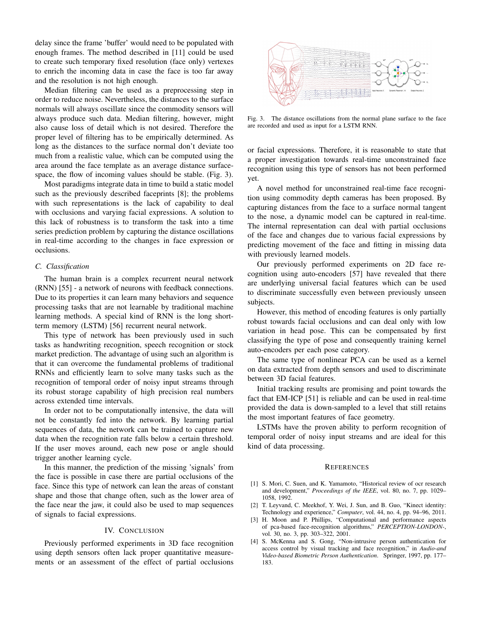delay since the frame 'buffer' would need to be populated with enough frames. The method described in [11] could be used to create such temporary fixed resolution (face only) vertexes to enrich the incoming data in case the face is too far away and the resolution is not high enough.

Median filtering can be used as a preprocessing step in order to reduce noise. Nevertheless, the distances to the surface normals will always oscillate since the commodity sensors will always produce such data. Median filtering, however, might also cause loss of detail which is not desired. Therefore the proper level of filtering has to be empirically determined. As long as the distances to the surface normal don't deviate too much from a realistic value, which can be computed using the area around the face template as an average distance surfacespace, the flow of incoming values should be stable. (Fig. 3).

Most paradigms integrate data in time to build a static model such as the previously described faceprints [8]; the problems with such representations is the lack of capability to deal with occlusions and varying facial expressions. A solution to this lack of robustness is to transform the task into a time series prediction problem by capturing the distance oscillations in real-time according to the changes in face expression or occlusions.

## *C. Classification*

The human brain is a complex recurrent neural network (RNN) [55] - a network of neurons with feedback connections. Due to its properties it can learn many behaviors and sequence processing tasks that are not learnable by traditional machine learning methods. A special kind of RNN is the long shortterm memory (LSTM) [56] recurrent neural network.

This type of network has been previously used in such tasks as handwriting recognition, speech recognition or stock market prediction. The advantage of using such an algorithm is that it can overcome the fundamental problems of traditional RNNs and efficiently learn to solve many tasks such as the recognition of temporal order of noisy input streams through its robust storage capability of high precision real numbers across extended time intervals.

In order not to be computationally intensive, the data will not be constantly fed into the network. By learning partial sequences of data, the network can be trained to capture new data when the recognition rate falls below a certain threshold. If the user moves around, each new pose or angle should trigger another learning cycle.

In this manner, the prediction of the missing 'signals' from the face is possible in case there are partial occlusions of the face. Since this type of network can lean the areas of constant shape and those that change often, such as the lower area of the face near the jaw, it could also be used to map sequences of signals to facial expressions.

### IV. CONCLUSION

Previously performed experiments in 3D face recognition using depth sensors often lack proper quantitative measurements or an assessment of the effect of partial occlusions



Fig. 3. The distance oscillations from the normal plane surface to the face are recorded and used as input for a LSTM RNN.

or facial expressions. Therefore, it is reasonable to state that a proper investigation towards real-time unconstrained face recognition using this type of sensors has not been performed yet.

A novel method for unconstrained real-time face recognition using commodity depth cameras has been proposed. By capturing distances from the face to a surface normal tangent to the nose, a dynamic model can be captured in real-time. The internal representation can deal with partial occlusions of the face and changes due to various facial expressions by predicting movement of the face and fitting in missing data with previously learned models.

Our previously performed experiments on 2D face recognition using auto-encoders [57] have revealed that there are underlying universal facial features which can be used to discriminate successfully even between previously unseen subjects.

However, this method of encoding features is only partially robust towards facial occlusions and can deal only with low variation in head pose. This can be compensated by first classifying the type of pose and consequently training kernel auto-encoders per each pose category.

The same type of nonlinear PCA can be used as a kernel on data extracted from depth sensors and used to discriminate between 3D facial features.

Initial tracking results are promising and point towards the fact that EM-ICP [51] is reliable and can be used in real-time provided the data is down-sampled to a level that still retains the most important features of face geometry.

LSTMs have the proven ability to perform recognition of temporal order of noisy input streams and are ideal for this kind of data processing.

#### **REFERENCES**

- [1] S. Mori, C. Suen, and K. Yamamoto, "Historical review of ocr research and development," *Proceedings of the IEEE*, vol. 80, no. 7, pp. 1029– 1058, 1992.
- [2] T. Leyvand, C. Meekhof, Y. Wei, J. Sun, and B. Guo, "Kinect identity: Technology and experience," *Computer*, vol. 44, no. 4, pp. 94–96, 2011.
- [3] H. Moon and P. Phillips, "Computational and performance aspects of pca-based face-recognition algorithms," *PERCEPTION-LONDON-*, vol. 30, no. 3, pp. 303–322, 2001.
- [4] S. McKenna and S. Gong, "Non-intrusive person authentication for access control by visual tracking and face recognition," in *Audio-and Video-based Biometric Person Authentication*. Springer, 1997, pp. 177– 183.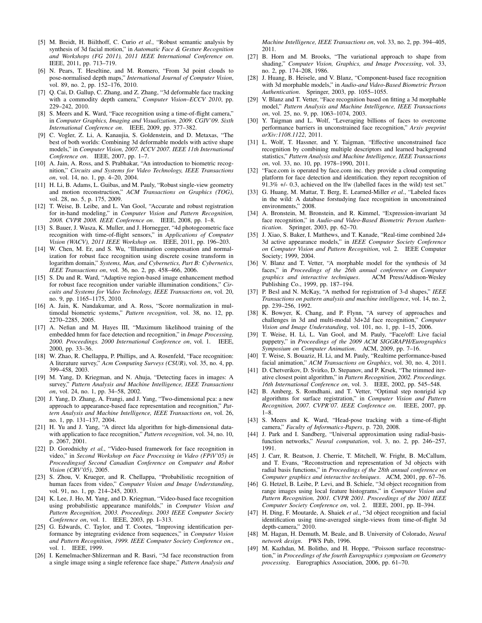- [5] M. Breidt, H. Biilthoff, C. Curio *et al.*, "Robust semantic analysis by synthesis of 3d facial motion," in *Automatic Face & Gesture Recognition and Workshops (FG 2011), 2011 IEEE International Conference on*. IEEE, 2011, pp. 713–719.
- [6] N. Pears, T. Heseltine, and M. Romero, "From 3d point clouds to pose-normalised depth maps," *International Journal of Computer Vision*, vol. 89, no. 2, pp. 152–176, 2010.
- [7] Q. Cai, D. Gallup, C. Zhang, and Z. Zhang, "3d deformable face tracking with a commodity depth camera," *Computer Vision–ECCV 2010*, pp. 229–242, 2010.
- [8] S. Meers and K. Ward, "Face recognition using a time-of-flight camera," in *Computer Graphics, Imaging and Visualization, 2009. CGIV'09. Sixth International Conference on*. IEEE, 2009, pp. 377–382.
- [9] C. Vogler, Z. Li, A. Kanaujia, S. Goldenstein, and D. Metaxas, "The best of both worlds: Combining 3d deformable models with active shape models," in *Computer Vision, 2007. ICCV 2007. IEEE 11th International Conference on*. IEEE, 2007, pp. 1–7.
- [10] A. Jain, A. Ross, and S. Prabhakar, "An introduction to biometric recognition," *Circuits and Systems for Video Technology, IEEE Transactions on*, vol. 14, no. 1, pp. 4–20, 2004.
- [11] H. Li, B. Adams, L. Guibas, and M. Pauly, "Robust single-view geometry and motion reconstruction," *ACM Transactions on Graphics (TOG)*, vol. 28, no. 5, p. 175, 2009.
- [12] T. Weise, B. Leibe, and L. Van Gool, "Accurate and robust registration for in-hand modeling," in *Computer Vision and Pattern Recognition, 2008. CVPR 2008. IEEE Conference on*. IEEE, 2008, pp. 1–8.
- [13] S. Bauer, J. Wasza, K. Muller, and J. Hornegger, "4d photogeometric face recognition with time-of-flight sensors," in *Applications of Computer Vision (WACV), 2011 IEEE Workshop on*. IEEE, 2011, pp. 196–203.
- [14] W. Chen, M. Er, and S. Wu, "Illumination compensation and normalization for robust face recognition using discrete cosine transform in logarithm domain," *Systems, Man, and Cybernetics, Part B: Cybernetics, IEEE Transactions on*, vol. 36, no. 2, pp. 458–466, 2006.
- [15] S. Du and R. Ward, "Adaptive region-based image enhancement method for robust face recognition under variable illumination conditions," *Circuits and Systems for Video Technology, IEEE Transactions on*, vol. 20, no. 9, pp. 1165–1175, 2010.
- [16] A. Jain, K. Nandakumar, and A. Ross, "Score normalization in multimodal biometric systems," *Pattern recognition*, vol. 38, no. 12, pp. 2270–2285, 2005.
- [17] A. Nefian and M. Hayes III, "Maximum likelihood training of the embedded hmm for face detection and recognition," in *Image Processing, 2000. Proceedings. 2000 International Conference on*, vol. 1. IEEE, 2000, pp. 33–36.
- [18] W. Zhao, R. Chellappa, P. Phillips, and A. Rosenfeld, "Face recognition: A literature survey," *Acm Computing Surveys (CSUR)*, vol. 35, no. 4, pp. 399–458, 2003.
- [19] M. Yang, D. Kriegman, and N. Ahuja, "Detecting faces in images: A survey," *Pattern Analysis and Machine Intelligence, IEEE Transactions on*, vol. 24, no. 1, pp. 34–58, 2002.
- [20] J. Yang, D. Zhang, A. Frangi, and J. Yang, "Two-dimensional pca: a new approach to appearance-based face representation and recognition," *Pattern Analysis and Machine Intelligence, IEEE Transactions on*, vol. 26, no. 1, pp. 131–137, 2004.
- [21] H. Yu and J. Yang, "A direct lda algorithm for high-dimensional datawith application to face recognition," *Pattern recognition*, vol. 34, no. 10, p. 2067, 2001.
- [22] D. Gorodnichy *et al.*, "Video-based framework for face recognition in video," in *Second Workshop on Face Processing in Video (FPiV'05) in Proceedingsof Second Canadian Conference on Computer and Robot Vision (CRV'05)*, 2005.
- [23] S. Zhou, V. Krueger, and R. Chellappa, "Probabilistic recognition of human faces from video," *Computer Vision and Image Understanding*, vol. 91, no. 1, pp. 214–245, 2003.
- [24] K. Lee, J. Ho, M. Yang, and D. Kriegman, "Video-based face recognition using probabilistic appearance manifolds," in *Computer Vision and Pattern Recognition, 2003. Proceedings. 2003 IEEE Computer Society Conference on*, vol. 1. IEEE, 2003, pp. I–313.
- [25] G. Edwards, C. Taylor, and T. Cootes, "Improving identification performance by integrating evidence from sequences," in *Computer Vision and Pattern Recognition, 1999. IEEE Computer Society Conference on.*, vol. 1. IEEE, 1999.
- [26] I. Kemelmacher-Shlizerman and R. Basri, "3d face reconstruction from a single image using a single reference face shape," *Pattern Analysis and*

*Machine Intelligence, IEEE Transactions on*, vol. 33, no. 2, pp. 394–405, 2011.

- [27] B. Horn and M. Brooks, "The variational approach to shape from shading," *Computer Vision, Graphics, and Image Processing*, vol. 33, no. 2, pp. 174–208, 1986.
- [28] J. Huang, B. Heisele, and V. Blanz, "Component-based face recognition with 3d morphable models," in *Audio-and Video-Based Biometric Person Authentication*. Springer, 2003, pp. 1055–1055.
- [29] V. Blanz and T. Vetter, "Face recognition based on fitting a 3d morphable model," *Pattern Analysis and Machine Intelligence, IEEE Transactions on*, vol. 25, no. 9, pp. 1063–1074, 2003.
- [30] Y. Taigman and L. Wolf, "Leveraging billions of faces to overcome performance barriers in unconstrained face recognition," *Arxiv preprint arXiv:1108.1122*, 2011.
- [31] L. Wolf, T. Hassner, and Y. Taigman, "Effective unconstrained face recognition by combining multiple descriptors and learned background statistics," *Pattern Analysis and Machine Intelligence, IEEE Transactions on*, vol. 33, no. 10, pp. 1978–1990, 2011.
- [32] "Face.com is operated by face.com inc. they provide a cloud computing platform for face detection and identification. they report recognition of 91.3% +/- 0.3, achieved on the lfw (labelled faces in the wild) test set."
- [33] G. Huang, M. Mattar, T. Berg, E. Learned-Miller *et al.*, "Labeled faces in the wild: A database forstudying face recognition in unconstrained environments," 2008.
- [34] A. Bronstein, M. Bronstein, and R. Kimmel, "Expression-invariant 3d face recognition," in *Audio-and Video-Based Biometric Person Authentication*. Springer, 2003, pp. 62–70.
- [35] J. Xiao, S. Baker, I. Matthews, and T. Kanade, "Real-time combined 2d+ 3d active appearance models," in *IEEE Computer Society Conference on Computer Vision and Pattern Recognition*, vol. 2. IEEE Computer Society; 1999, 2004.
- [36] V. Blanz and T. Vetter, "A morphable model for the synthesis of 3d faces," in *Proceedings of the 26th annual conference on Computer graphics and interactive techniques*. ACM Press/Addison-Wesley Publishing Co., 1999, pp. 187–194.
- [37] P. Besl and N. McKay, "A method for registration of 3-d shapes," *IEEE Transactions on pattern analysis and machine intelligence*, vol. 14, no. 2, pp. 239–256, 1992.
- [38] K. Bowyer, K. Chang, and P. Flynn, "A survey of approaches and challenges in 3d and multi-modal 3d+2d face recognition," *Computer Vision and Image Understanding*, vol. 101, no. 1, pp. 1–15, 2006.
- [39] T. Weise, H. Li, L. Van Gool, and M. Pauly, "Face/off: Live facial puppetry," in *Proceedings of the 2009 ACM SIGGRAPH/Eurographics Symposium on Computer Animation*. ACM, 2009, pp. 7–16.
- [40] T. Weise, S. Bouaziz, H. Li, and M. Pauly, "Realtime performance-based facial animation," *ACM Transactions on Graphics*, vol. 30, no. 4, 2011.
- [41] D. Chetverikov, D. Svirko, D. Stepanov, and P. Krsek, "The trimmed iterative closest point algorithm," in *Pattern Recognition, 2002. Proceedings. 16th International Conference on*, vol. 3. IEEE, 2002, pp. 545–548.
- [42] B. Amberg, S. Romdhani, and T. Vetter, "Optimal step nonrigid icp algorithms for surface registration," in *Computer Vision and Pattern Recognition, 2007. CVPR'07. IEEE Conference on*. IEEE, 2007, pp. 1–8.
- [43] S. Meers and K. Ward, "Head-pose tracking with a time-of-flight camera," *Faculty of Informatics-Papers*, p. 720, 2008.
- [44] J. Park and I. Sandberg, "Universal approximation using radial-basisfunction networks," *Neural computation*, vol. 3, no. 2, pp. 246–257, 1991.
- [45] J. Carr, R. Beatson, J. Cherrie, T. Mitchell, W. Fright, B. McCallum, and T. Evans, "Reconstruction and representation of 3d objects with radial basis functions," in *Proceedings of the 28th annual conference on Computer graphics and interactive techniques*. ACM, 2001, pp. 67–76.
- [46] G. Hetzel, B. Leibe, P. Levi, and B. Schiele, "3d object recognition from range images using local feature histograms," in *Computer Vision and Pattern Recognition, 2001. CVPR 2001. Proceedings of the 2001 IEEE Computer Society Conference on*, vol. 2. IEEE, 2001, pp. II–394.
- [47] H. Ding, F. Moutarde, A. Shaiek *et al.*, "3d object recognition and facial identification using time-averaged single-views from time-of-flight 3d depth-camera," 2010.
- [48] M. Hagan, H. Demuth, M. Beale, and B. University of Colorado, *Neural network design*. PWS Pub, 1996.
- [49] M. Kazhdan, M. Bolitho, and H. Hoppe, "Poisson surface reconstruction," in *Proceedings of the fourth Eurographics symposium on Geometry processing*. Eurographics Association, 2006, pp. 61–70.